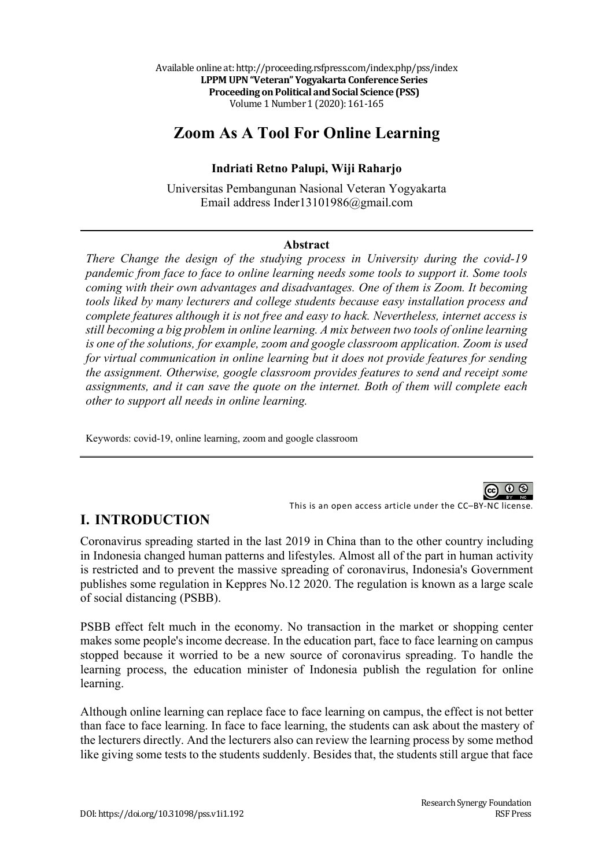# **Zoom As A Tool For Online Learning**

#### **Indriati Retno Palupi, Wiji Raharjo**

Universitas Pembangunan Nasional Veteran Yogyakarta Email address Inder13101986@gmail.com

#### **Abstract**

*There Change the design of the studying process in University during the covid-19 pandemic from face to face to online learning needs some tools to support it. Some tools coming with their own advantages and disadvantages. One of them is Zoom. It becoming tools liked by many lecturers and college students because easy installation process and complete features although it is not free and easy to hack. Nevertheless, internet access is still becoming a big problem in online learning. A mix between two tools of online learning is one of the solutions, for example, zoom and google classroom application. Zoom is used for virtual communication in online learning but it does not provide features for sending the assignment. Otherwise, google classroom provides features to send and receipt some assignments, and it can save the quote on the internet. Both of them will complete each other to support all needs in online learning.*

Keywords: covid-19, online learning, zoom and google classroom



This is an open access article under the CC–BY-NC license.

### **I. INTRODUCTION**

Coronavirus spreading started in the last 2019 in China than to the other country including in Indonesia changed human patterns and lifestyles. Almost all of the part in human activity is restricted and to prevent the massive spreading of coronavirus, Indonesia's Government publishes some regulation in Keppres No.12 2020. The regulation is known as a large scale of social distancing (PSBB).

PSBB effect felt much in the economy. No transaction in the market or shopping center makes some people's income decrease. In the education part, face to face learning on campus stopped because it worried to be a new source of coronavirus spreading. To handle the learning process, the education minister of Indonesia publish the regulation for online learning.

Although online learning can replace face to face learning on campus, the effect is not better than face to face learning. In face to face learning, the students can ask about the mastery of the lecturers directly. And the lecturers also can review the learning process by some method like giving some tests to the students suddenly. Besides that, the students still argue that face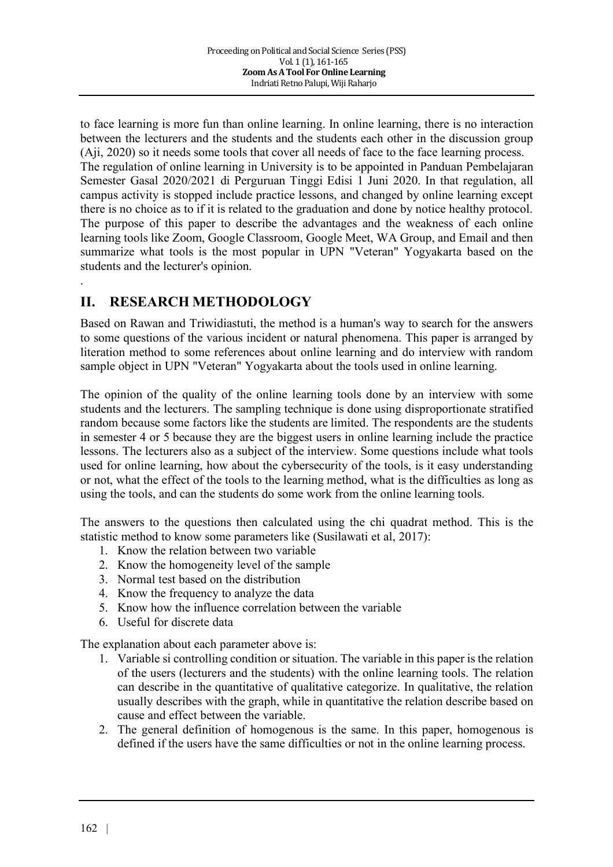to face learning is more fun than online learning. In online learning, there is no interaction between the lecturers and the students and the students each other in the discussion group (Aji, 2020) so it needs some tools that cover all needs of face to the face learning process. The regulation of online learning in University is to be appointed in Panduan Pembelajaran Semester Gasal 2020/2021 di Perguruan Tinggi Edisi 1 Juni 2020. In that regulation, all campus activity is stopped include practice lessons, and changed by online learning except there is no choice as to if it is related to the graduation and done by notice healthy protocol. The purpose of this paper to describe the advantages and the weakness of each online learning tools like Zoom, Google Classroom, Google Meet, WA Group, and Email and then summarize what tools is the most popular in UPN "Veteran" Yogyakarta based on the students and the lecturer's opinion.

## **II. RESEARCH METHODOLOGY**

.

Based on Rawan and Triwidiastuti, the method is a human's way to search for the answers to some questions of the various incident or natural phenomena. This paper is arranged by literation method to some references about online learning and do interview with random sample object in UPN "Veteran" Yogyakarta about the tools used in online learning.

The opinion of the quality of the online learning tools done by an interview with some students and the lecturers. The sampling technique is done using disproportionate stratified random because some factors like the students are limited. The respondents are the students in semester 4 or 5 because they are the biggest users in online learning include the practice lessons. The lecturers also as a subject of the interview. Some questions include what tools used for online learning, how about the cybersecurity of the tools, is it easy understanding or not, what the effect of the tools to the learning method, what is the difficulties as long as using the tools, and can the students do some work from the online learning tools.

The answers to the questions then calculated using the chi quadrat method. This is the statistic method to know some parameters like (Susilawati et al, 2017):

- 1. Know the relation between two variable
- 2. Know the homogeneity level of the sample
- 3. Normal test based on the distribution
- 4. Know the frequency to analyze the data
- 5. Know how the influence correlation between the variable
- 6. Useful for discrete data

The explanation about each parameter above is:

- 1. Variable si controlling condition or situation. The variable in this paper is the relation of the users (lecturers and the students) with the online learning tools. The relation can describe in the quantitative of qualitative categorize. In qualitative, the relation usually describes with the graph, while in quantitative the relation describe based on cause and effect between the variable.
- 2. The general definition of homogenous is the same. In this paper, homogenous is defined if the users have the same difficulties or not in the online learning process.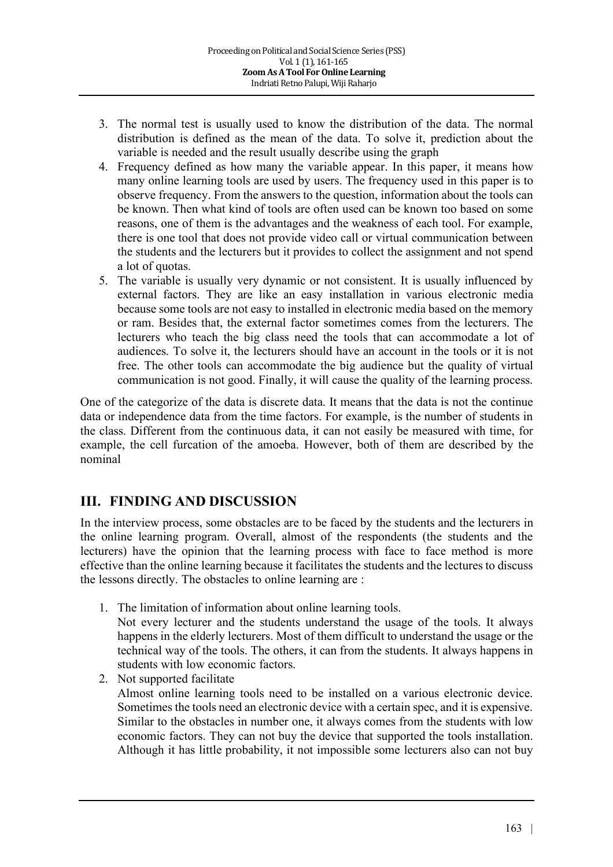- 3. The normal test is usually used to know the distribution of the data. The normal distribution is defined as the mean of the data. To solve it, prediction about the variable is needed and the result usually describe using the graph
- 4. Frequency defined as how many the variable appear. In this paper, it means how many online learning tools are used by users. The frequency used in this paper is to observe frequency. From the answers to the question, information about the tools can be known. Then what kind of tools are often used can be known too based on some reasons, one of them is the advantages and the weakness of each tool. For example, there is one tool that does not provide video call or virtual communication between the students and the lecturers but it provides to collect the assignment and not spend a lot of quotas.
- 5. The variable is usually very dynamic or not consistent. It is usually influenced by external factors. They are like an easy installation in various electronic media because some tools are not easy to installed in electronic media based on the memory or ram. Besides that, the external factor sometimes comes from the lecturers. The lecturers who teach the big class need the tools that can accommodate a lot of audiences. To solve it, the lecturers should have an account in the tools or it is not free. The other tools can accommodate the big audience but the quality of virtual communication is not good. Finally, it will cause the quality of the learning process.

One of the categorize of the data is discrete data. It means that the data is not the continue data or independence data from the time factors. For example, is the number of students in the class. Different from the continuous data, it can not easily be measured with time, for example, the cell furcation of the amoeba. However, both of them are described by the nominal

### **III. FINDING AND DISCUSSION**

In the interview process, some obstacles are to be faced by the students and the lecturers in the online learning program. Overall, almost of the respondents (the students and the lecturers) have the opinion that the learning process with face to face method is more effective than the online learning because it facilitates the students and the lectures to discuss the lessons directly. The obstacles to online learning are :

1. The limitation of information about online learning tools.

Not every lecturer and the students understand the usage of the tools. It always happens in the elderly lecturers. Most of them difficult to understand the usage or the technical way of the tools. The others, it can from the students. It always happens in students with low economic factors.

2. Not supported facilitate Almost online learning tools need to be installed on a various electronic device. Sometimes the tools need an electronic device with a certain spec, and it is expensive. Similar to the obstacles in number one, it always comes from the students with low economic factors. They can not buy the device that supported the tools installation. Although it has little probability, it not impossible some lecturers also can not buy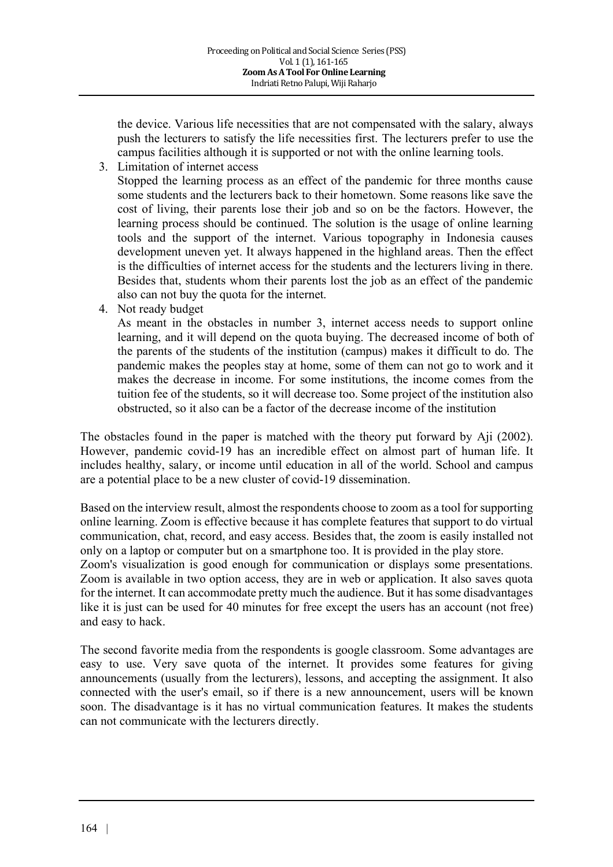the device. Various life necessities that are not compensated with the salary, always push the lecturers to satisfy the life necessities first. The lecturers prefer to use the campus facilities although it is supported or not with the online learning tools.

3. Limitation of internet access

Stopped the learning process as an effect of the pandemic for three months cause some students and the lecturers back to their hometown. Some reasons like save the cost of living, their parents lose their job and so on be the factors. However, the learning process should be continued. The solution is the usage of online learning tools and the support of the internet. Various topography in Indonesia causes development uneven yet. It always happened in the highland areas. Then the effect is the difficulties of internet access for the students and the lecturers living in there. Besides that, students whom their parents lost the job as an effect of the pandemic also can not buy the quota for the internet.

4. Not ready budget

As meant in the obstacles in number 3, internet access needs to support online learning, and it will depend on the quota buying. The decreased income of both of the parents of the students of the institution (campus) makes it difficult to do. The pandemic makes the peoples stay at home, some of them can not go to work and it makes the decrease in income. For some institutions, the income comes from the tuition fee of the students, so it will decrease too. Some project of the institution also obstructed, so it also can be a factor of the decrease income of the institution

The obstacles found in the paper is matched with the theory put forward by Aji (2002). However, pandemic covid-19 has an incredible effect on almost part of human life. It includes healthy, salary, or income until education in all of the world. School and campus are a potential place to be a new cluster of covid-19 dissemination.

Based on the interview result, almost the respondents choose to zoom as a tool for supporting online learning. Zoom is effective because it has complete features that support to do virtual communication, chat, record, and easy access. Besides that, the zoom is easily installed not only on a laptop or computer but on a smartphone too. It is provided in the play store. Zoom's visualization is good enough for communication or displays some presentations. Zoom is available in two option access, they are in web or application. It also saves quota for the internet. It can accommodate pretty much the audience. But it has some disadvantages like it is just can be used for 40 minutes for free except the users has an account (not free) and easy to hack.

The second favorite media from the respondents is google classroom. Some advantages are easy to use. Very save quota of the internet. It provides some features for giving announcements (usually from the lecturers), lessons, and accepting the assignment. It also connected with the user's email, so if there is a new announcement, users will be known soon. The disadvantage is it has no virtual communication features. It makes the students can not communicate with the lecturers directly.